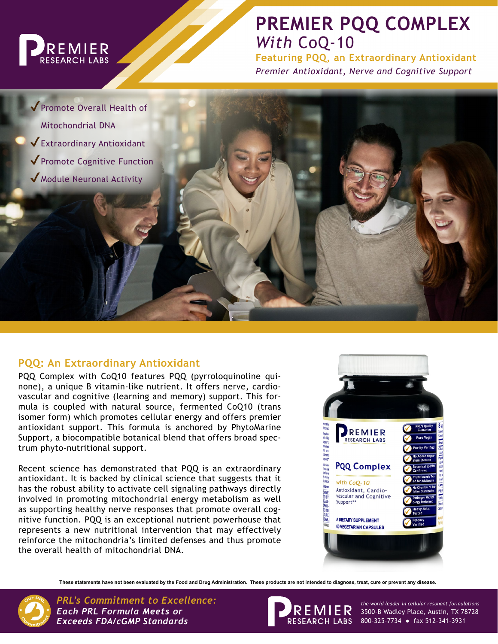

# **PREMIER PQQ COMPLEX** *With* CoQ-10

**Featuring PQQ, an Extraordinary Antioxidant** *Premier Antioxidant, Nerve and Cognitive Support*

◆ Promote Overall Health of Mitochondrial DNA ✔Extraordinary Antioxidant ✔Promote Cognitive Function ✔Module Neuronal Activity

## **PQQ: An Extraordinary Antioxidant**

PQQ Complex with CoQ10 features PQQ (pyrroloquinoline quinone), a unique B vitamin-like nutrient. It offers nerve, cardiovascular and cognitive (learning and memory) support. This formula is coupled with natural source, fermented CoQ10 (trans isomer form) which promotes cellular energy and offers premier antioxidant support. This formula is anchored by PhytoMarine Support, a biocompatible botanical blend that offers broad spectrum phyto-nutritional support.

Recent science has demonstrated that PQQ is an extraordinary antioxidant. It is backed by clinical science that suggests that it has the robust ability to activate cell signaling pathways directly involved in promoting mitochondrial energy metabolism as well as supporting healthy nerve responses that promote overall cognitive function. PQQ is an exceptional nutrient powerhouse that represents a new nutritional intervention that may effectively reinforce the mitochondria's limited defenses and thus promote the overall health of mitochondrial DNA.



**These statements have not been evaluated by the Food and Drug Administration. These products are not intended to diagnose, treat, cure or prevent any disease.**



*PRL's Commitment to Excellence: the world leader in cellular resonant formulations Each PRL Formula Meets or Exceeds FDA/cGMP Standards*



3500-B Wadley Place, Austin, TX 78728 800-325-7734 ● fax 512-341-3931